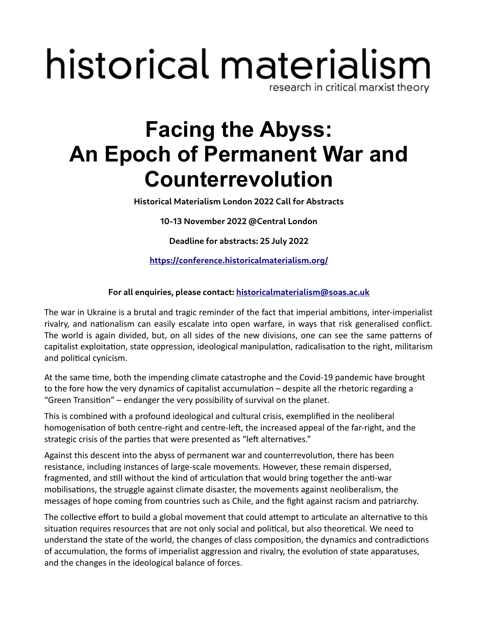# historical materialism research in critical marxist theory

## **Facing the Abyss: An Epoch of Permanent War and Counterrevolution**

**Historical Materialism London 2022 Call for Abstracts**

**10-13 November 2022 @Central London**

**Deadline for abstracts: 25 July 2022**

**<https://conference.historicalmaterialism.org/>**

#### **For all enquiries, please contact: [historicalmaterialism@soas.ac.uk](mailto:historicalmaterialism@soas.ac.uk)**

The war in Ukraine is a brutal and tragic reminder of the fact that imperial ambitions, inter-imperialist rivalry, and nationalism can easily escalate into open warfare, in ways that risk generalised conflict. The world is again divided, but, on all sides of the new divisions, one can see the same patterns of capitalist exploitation, state oppression, ideological manipulation, radicalisation to the right, militarism and political cynicism.

At the same time, both the impending climate catastrophe and the Covid-19 pandemic have brought to the fore how the very dynamics of capitalist accumulation – despite all the rhetoric regarding a "Green Transition" – endanger the very possibility of survival on the planet.

This is combined with a profound ideological and cultural crisis, exemplified in the neoliberal homogenisation of both centre-right and centre-left, the increased appeal of the far-right, and the strategic crisis of the parties that were presented as "left alternatives."

Against this descent into the abyss of permanent war and counterrevolution, there has been resistance, including instances of large-scale movements. However, these remain dispersed, fragmented, and still without the kind of articulation that would bring together the anti-war mobilisations, the struggle against climate disaster, the movements against neoliberalism, the messages of hope coming from countries such as Chile, and the fight against racism and patriarchy.

The collective effort to build a global movement that could attempt to articulate an alternative to this situation requires resources that are not only social and political, but also theoretical. We need to understand the state of the world, the changes of class composition, the dynamics and contradictions of accumulation, the forms of imperialist aggression and rivalry, the evolution of state apparatuses, and the changes in the ideological balance of forces.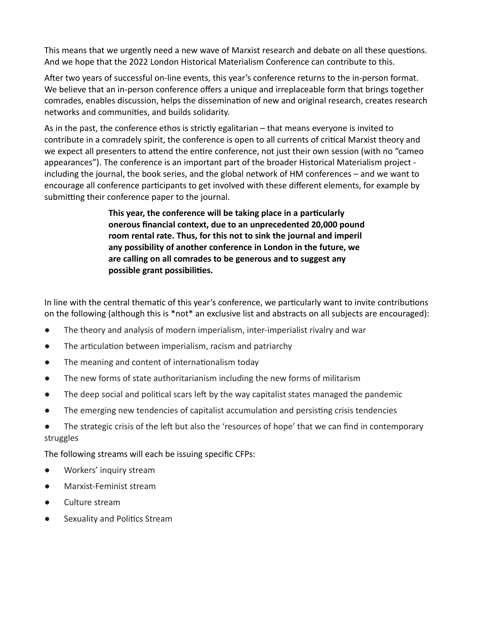This means that we urgently need a new wave of Marxist research and debate on all these questions. And we hope that the 2022 London Historical Materialism Conference can contribute to this.

After two years of successful on-line events, this year's conference returns to the in-person format. We believe that an in-person conference offers a unique and irreplaceable form that brings together comrades, enables discussion, helps the dissemination of new and original research, creates research networks and communities, and builds solidarity.

As in the past, the conference ethos is strictly egalitarian – that means everyone is invited to contribute in a comradely spirit, the conference is open to all currents of critical Marxist theory and we expect all presenters to attend the entire conference, not just their own session (with no "cameo appearances"). The conference is an important part of the broader Historical Materialism project including the journal, the book series, and the global network of HM conferences – and we want to encourage all conference participants to get involved with these different elements, for example by submitting their conference paper to the journal.

> **This year, the conference will be taking place in a particularly onerous financial context, due to an unprecedented 20,000 pound room rental rate. Thus, for this not to sink the journal and imperil any possibility of another conference in London in the future, we are calling on all comrades to be generous and to suggest any possible grant possibilities.**

In line with the central thematic of this year's conference, we particularly want to invite contributions on the following (although this is \*not\* an exclusive list and abstracts on all subjects are encouraged):

- The theory and analysis of modern imperialism, inter-imperialist rivalry and war
- The articulation between imperialism, racism and patriarchy
- The meaning and content of internationalism today
- The new forms of state authoritarianism including the new forms of militarism
- The deep social and political scars left by the way capitalist states managed the pandemic
- The emerging new tendencies of capitalist accumulation and persisting crisis tendencies
- The strategic crisis of the left but also the 'resources of hope' that we can find in contemporary struggles

The following streams will each be issuing specific CFPs:

- Workers' inquiry stream
- Marxist-Feminist stream
- Culture stream
- Sexuality and Politics Stream